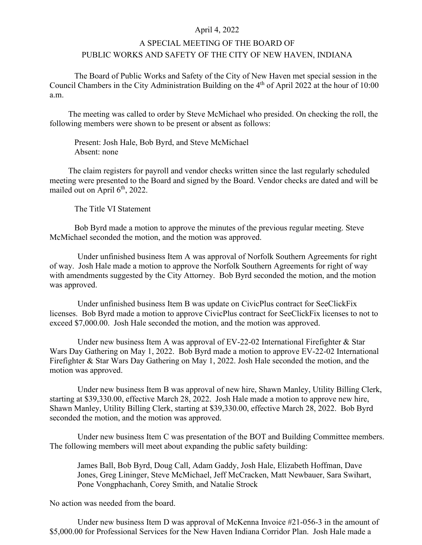## April 4, 2022

## A SPECIAL MEETING OF THE BOARD OF PUBLIC WORKS AND SAFETY OF THE CITY OF NEW HAVEN, INDIANA

The Board of Public Works and Safety of the City of New Haven met special session in the Council Chambers in the City Administration Building on the 4<sup>th</sup> of April 2022 at the hour of 10:00 a.m.

The meeting was called to order by Steve McMichael who presided. On checking the roll, the following members were shown to be present or absent as follows:

Present: Josh Hale, Bob Byrd, and Steve McMichael Absent: none

The claim registers for payroll and vendor checks written since the last regularly scheduled meeting were presented to the Board and signed by the Board. Vendor checks are dated and will be mailed out on April  $6<sup>th</sup>$ , 2022.

The Title VI Statement

Bob Byrd made a motion to approve the minutes of the previous regular meeting. Steve McMichael seconded the motion, and the motion was approved.

Under unfinished business Item A was approval of Norfolk Southern Agreements for right of way. Josh Hale made a motion to approve the Norfolk Southern Agreements for right of way with amendments suggested by the City Attorney. Bob Byrd seconded the motion, and the motion was approved.

Under unfinished business Item B was update on CivicPlus contract for SeeClickFix licenses. Bob Byrd made a motion to approve CivicPlus contract for SeeClickFix licenses to not to exceed \$7,000.00. Josh Hale seconded the motion, and the motion was approved.

Under new business Item A was approval of  $EV-22-02$  International Firefighter & Star Wars Day Gathering on May 1, 2022. Bob Byrd made a motion to approve EV-22-02 International Firefighter & Star Wars Day Gathering on May 1, 2022. Josh Hale seconded the motion, and the motion was approved.

Under new business Item B was approval of new hire, Shawn Manley, Utility Billing Clerk, starting at \$39,330.00, effective March 28, 2022. Josh Hale made a motion to approve new hire, Shawn Manley, Utility Billing Clerk, starting at \$39,330.00, effective March 28, 2022. Bob Byrd seconded the motion, and the motion was approved.

Under new business Item C was presentation of the BOT and Building Committee members. The following members will meet about expanding the public safety building:

James Ball, Bob Byrd, Doug Call, Adam Gaddy, Josh Hale, Elizabeth Hoffman, Dave Jones, Greg Lininger, Steve McMichael, Jeff McCracken, Matt Newbauer, Sara Swihart, Pone Vongphachanh, Corey Smith, and Natalie Strock

No action was needed from the board.

Under new business Item D was approval of McKenna Invoice #21-056-3 in the amount of \$5,000.00 for Professional Services for the New Haven Indiana Corridor Plan. Josh Hale made a